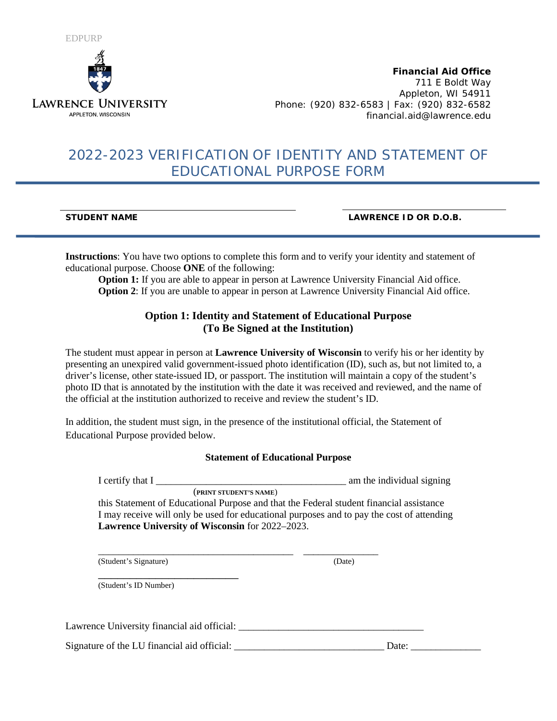

**Financial Aid Office** 711 E Boldt Way Appleton, WI 54911 Phone: (920) 832-6583 | Fax: (920) 832-6582 financial.aid@lawrence.edu

# 2022-2023 VERIFICATION OF IDENTITY AND STATEMENT OF EDUCATIONAL PURPOSE FORM

**STUDENT NAME LAWRENCE ID OR D.O.B.**

**Instructions**: You have two options to complete this form and to verify your identity and statement of educational purpose. Choose **ONE** of the following:

**Option 1:** If you are able to appear in person at Lawrence University Financial Aid office. **Option 2:** If you are unable to appear in person at Lawrence University Financial Aid office.

### **Option 1: Identity and Statement of Educational Purpose (To Be Signed at the Institution)**

The student must appear in person at **Lawrence University of Wisconsin** to verify his or her identity by presenting an unexpired valid government-issued photo identification (ID), such as, but not limited to, a driver's license, other state-issued ID, or passport. The institution will maintain a copy of the student's photo ID that is annotated by the institution with the date it was received and reviewed, and the name of the official at the institution authorized to receive and review the student's ID.

In addition, the student must sign, in the presence of the institutional official, the Statement of Educational Purpose provided below.

#### **Statement of Educational Purpose**

I certify that I \_\_\_\_\_\_\_\_\_\_\_\_\_\_\_\_\_\_\_\_\_\_\_\_\_\_\_\_\_\_\_\_\_\_\_\_\_\_ am the individual signing (**PRINT STUDENT'S NAME**)

this Statement of Educational Purpose and that the Federal student financial assistance I may receive will only be used for educational purposes and to pay the cost of attending **Lawrence University of Wisconsin** for 2022–2023.

\_\_\_\_\_\_\_\_\_\_\_\_\_\_\_\_\_\_\_\_\_\_\_\_\_\_\_\_\_\_\_\_\_\_\_\_\_\_\_ \_\_\_\_\_\_\_\_\_\_\_\_\_\_\_ (Student's Signature) (Date)

\_\_\_\_\_\_\_\_\_\_\_\_\_\_\_\_\_\_\_\_\_\_ (Student's ID Number)

Lawrence University financial aid official:

Signature of the LU financial aid official: \_\_\_\_\_\_\_\_\_\_\_\_\_\_\_\_\_\_\_\_\_\_\_\_\_\_\_\_\_\_ Date: \_\_\_\_\_\_\_\_\_\_\_\_\_\_